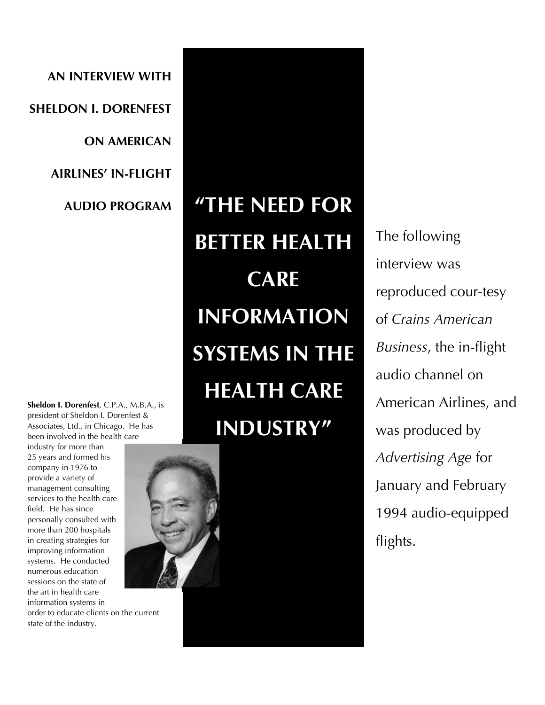**AN INTERVIEW WITH SHELDON I. DORENFEST ON AMERICAN AIRLINES' IN-FLIGHT AUDIO PROGRAM** 

**Sheldon I. Dorenfest**, C.P.A., M.B.A., is president of Sheldon I. Dorenfest & Associates, Ltd., in Chicago. He has been involved in the health care

industry for more than 25 years and formed his company in 1976 to provide a variety of management consulting services to the health care field. He has since personally consulted with more than 200 hospitals in creating strategies for improving information systems. He conducted numerous education sessions on the state of the art in health care information systems in order to educate clients on the current state of the industry.



The following interview was reproduced cour-tesy of *Crains American Business*, the in-flight audio channel on American Airlines, and was produced by *Advertising Age* for January and February 1994 audio-equipped flights.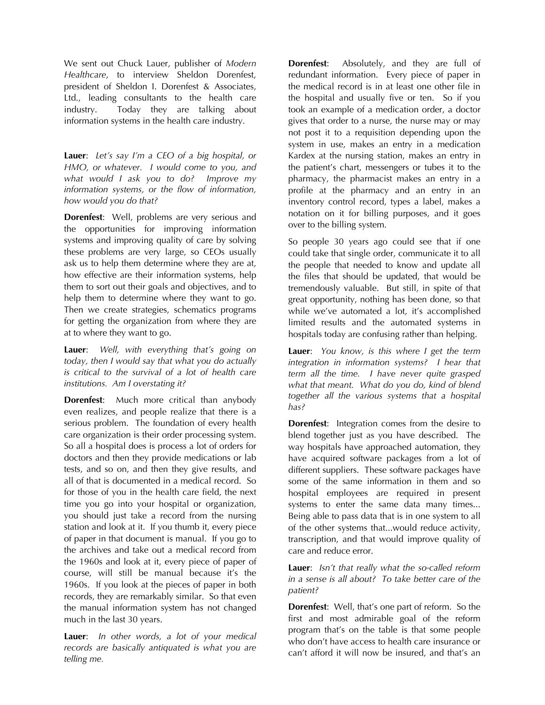We sent out Chuck Lauer, publisher of *Modern Healthcare*, to interview Sheldon Dorenfest, president of Sheldon I. Dorenfest & Associates, Ltd., leading consultants to the health care industry. Today they are talking about information systems in the health care industry.

**Lauer**: *Let's say I'm a CEO of a big hospital, or HMO, or whatever. I would come to you, and what would I ask you to do? Improve my information systems, or the flow of information, how would you do that?* 

**Dorenfest**: Well, problems are very serious and the opportunities for improving information systems and improving quality of care by solving these problems are very large, so CEOs usually ask us to help them determine where they are at, how effective are their information systems, help them to sort out their goals and objectives, and to help them to determine where they want to go. Then we create strategies, schematics programs for getting the organization from where they are at to where they want to go.

**Lauer**: *Well, with everything that's going on today, then I would say that what you do actually is critical to the survival of a lot of health care institutions. Am I overstating it?*

**Dorenfest**: Much more critical than anybody even realizes, and people realize that there is a serious problem. The foundation of every health care organization is their order processing system. So all a hospital does is process a lot of orders for doctors and then they provide medications or lab tests, and so on, and then they give results, and all of that is documented in a medical record. So for those of you in the health care field, the next time you go into your hospital or organization, you should just take a record from the nursing station and look at it. If you thumb it, every piece of paper in that document is manual. If you go to the archives and take out a medical record from the 1960s and look at it, every piece of paper of course, will still be manual because it's the 1960s. If you look at the pieces of paper in both records, they are remarkably similar. So that even the manual information system has not changed much in the last 30 years.

**Lauer**: *In other words, a lot of your medical records are basically antiquated is what you are telling me.*

**Dorenfest**: Absolutely, and they are full of redundant information. Every piece of paper in the medical record is in at least one other file in the hospital and usually five or ten. So if you took an example of a medication order, a doctor gives that order to a nurse, the nurse may or may not post it to a requisition depending upon the system in use, makes an entry in a medication Kardex at the nursing station, makes an entry in the patient's chart, messengers or tubes it to the pharmacy, the pharmacist makes an entry in a profile at the pharmacy and an entry in an inventory control record, types a label, makes a notation on it for billing purposes, and it goes over to the billing system.

So people 30 years ago could see that if one could take that single order, communicate it to all the people that needed to know and update all the files that should be updated, that would be tremendously valuable. But still, in spite of that great opportunity, nothing has been done, so that while we've automated a lot, it's accomplished limited results and the automated systems in hospitals today are confusing rather than helping.

**Lauer**: *You know, is this where I get the term integration in information systems? I hear that term all the time. I have never quite grasped what that meant. What do you do, kind of blend together all the various systems that a hospital has?*

**Dorenfest**: Integration comes from the desire to blend together just as you have described. The way hospitals have approached automation, they have acquired software packages from a lot of different suppliers. These software packages have some of the same information in them and so hospital employees are required in present systems to enter the same data many times... Being able to pass data that is in one system to all of the other systems that...would reduce activity, transcription, and that would improve quality of care and reduce error.

**Lauer**: *Isn't that really what the so-called reform in a sense is all about? To take better care of the patient?*

**Dorenfest**: Well, that's one part of reform. So the first and most admirable goal of the reform program that's on the table is that some people who don't have access to health care insurance or can't afford it will now be insured, and that's an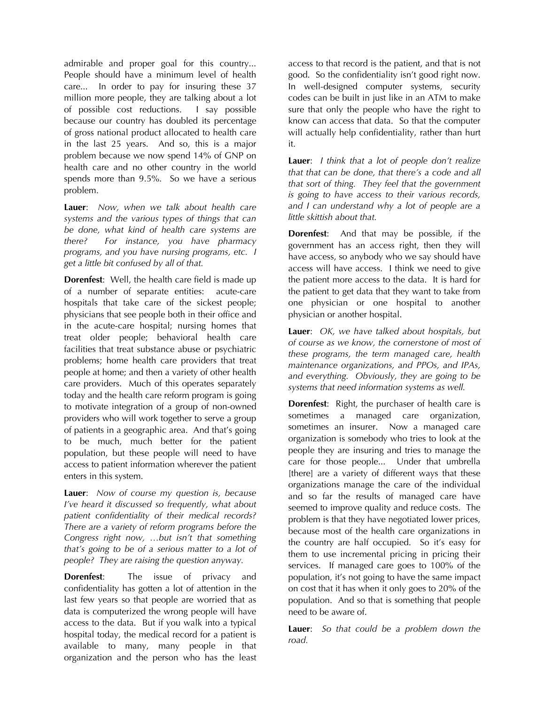admirable and proper goal for this country... People should have a minimum level of health care... In order to pay for insuring these 37 million more people, they are talking about a lot of possible cost reductions. I say possible because our country has doubled its percentage of gross national product allocated to health care in the last 25 years. And so, this is a major problem because we now spend 14% of GNP on health care and no other country in the world spends more than 9.5%. So we have a serious problem.

**Lauer**: *Now, when we talk about health care systems and the various types of things that can be done, what kind of health care systems are there? For instance, you have pharmacy programs, and you have nursing programs, etc. I get a little bit confused by all of that.*

**Dorenfest**: Well, the health care field is made up of a number of separate entities: acute-care hospitals that take care of the sickest people; physicians that see people both in their office and in the acute-care hospital; nursing homes that treat older people; behavioral health care facilities that treat substance abuse or psychiatric problems; home health care providers that treat people at home; and then a variety of other health care providers. Much of this operates separately today and the health care reform program is going to motivate integration of a group of non-owned providers who will work together to serve a group of patients in a geographic area. And that's going to be much, much better for the patient population, but these people will need to have access to patient information wherever the patient enters in this system.

**Lauer**: *Now of course my question is, because I've heard it discussed so frequently, what about patient confidentiality of their medical records? There are a variety of reform programs before the Congress right now, …but isn't that something that's going to be of a serious matter to a lot of people? They are raising the question anyway.*

**Dorenfest:** The issue of privacy and confidentiality has gotten a lot of attention in the last few years so that people are worried that as data is computerized the wrong people will have access to the data. But if you walk into a typical hospital today, the medical record for a patient is available to many, many people in that organization and the person who has the least

access to that record is the patient, and that is not good. So the confidentiality isn't good right now. In well-designed computer systems, security codes can be built in just like in an ATM to make sure that only the people who have the right to know can access that data. So that the computer will actually help confidentiality, rather than hurt it.

**Lauer**: *I think that a lot of people don't realize that that can be done, that there's a code and all that sort of thing. They feel that the government is going to have access to their various records, and I can understand why a lot of people are a little skittish about that.*

**Dorenfest**: And that may be possible, if the government has an access right, then they will have access, so anybody who we say should have access will have access. I think we need to give the patient more access to the data. It is hard for the patient to get data that they want to take from one physician or one hospital to another physician or another hospital.

**Lauer**: *OK, we have talked about hospitals, but of course as we know, the cornerstone of most of these programs, the term managed care, health maintenance organizations, and PPOs, and IPAs, and everything. Obviously, they are going to be systems that need information systems as well.*

**Dorenfest**: Right, the purchaser of health care is sometimes a managed care organization, sometimes an insurer. Now a managed care organization is somebody who tries to look at the people they are insuring and tries to manage the care for those people... Under that umbrella [there] are a variety of different ways that these organizations manage the care of the individual and so far the results of managed care have seemed to improve quality and reduce costs. The problem is that they have negotiated lower prices, because most of the health care organizations in the country are half occupied. So it's easy for them to use incremental pricing in pricing their services. If managed care goes to 100% of the population, it's not going to have the same impact on cost that it has when it only goes to 20% of the population. And so that is something that people need to be aware of.

**Lauer**: *So that could be a problem down the road.*